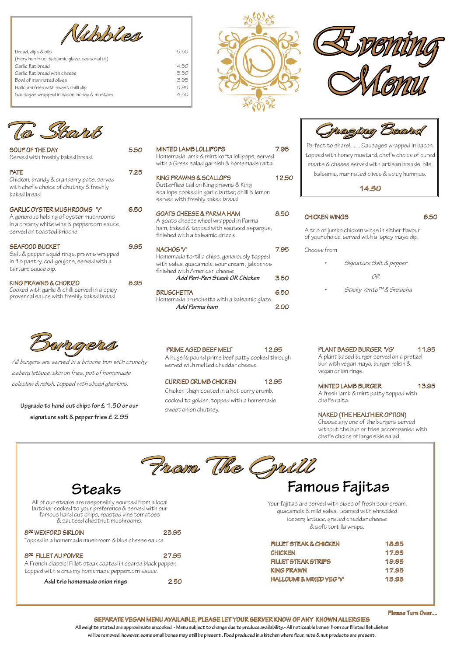| SOUP OF THE DAY                                                                                                                                  | 5.50 |
|--------------------------------------------------------------------------------------------------------------------------------------------------|------|
| Served with freshly baked bread.                                                                                                                 |      |
| <b>PATE</b><br>Chicken, brandy & cranberry pate, served<br>with chef's choice of chutney & freshly<br>baked bread                                | 7.25 |
| GARLIC OYSTER MUSHROOMS 'V'<br>A generous helping of oyster mushrooms<br>in a creamy white wine & peppercorn sauce,<br>served on toasted brioche | 6.50 |
| <b>SEAFOOD BUCKET</b><br>Salt & pepper squid rings, prawns wrapped<br>in filo pastry, cod goujons, served with a<br>tartare sauce dip.           | 9.95 |
| KING PRAWNS & CHORIZO<br>Cooked with garlic & chilli, served in a spicy                                                                          | 8.YL |

| Cooked with garlic & chilli, served in a spicy |  |
|------------------------------------------------|--|
| provencal sauce with freshly baked bread       |  |

PLANT BASED BURGER 'VG' 11.95 A plant based burger served on a pretzel bun with vegan mayo, burger relish & vegan onion rings.

MINTED LAMB BURGER 13.95 A fresh lamb & mint patty topped with chef's raita.

#### **SEPARATE VEGAN MENU AVAILABLE, PLEASE LET YOUR SERVER KNOW OF ANY KNOWN ALLERGIES**

**All weights stated are approximate uncooked - Menu subject to change due to produce availability.- All noticeable bones from our filleted fish dishes will be removed, however, some small bones may still be present . Food produced in a kitchen where flour, nuts & nut products are present.**

PRIME AGED BEEF MELT 12.95 A huge ½ pound prime beef patty cooked through served with melted cheddar cheese.

## NAKED (THE HEALTHIER OPTION)

Choose any one of the burgers served without the bun or fries accompanied with chef's choice of large side salad.

From The Grill







# CURRIED CRUMB CHICKEN 12.95

Chicken thigh coated in a hot curry crumb, cooked to golden, topped with a homemade sweet onion chutney.

**Please Turn Over....**

Vabbles

| Bread, dips & oils                           | 5.50 |
|----------------------------------------------|------|
| (Fiery hummus, balsamic glaze, seasonal oil) |      |
| Garlic flat bread                            | 4.50 |
| Garlic flat bread with cheese                | 5.50 |
| Bowl of marinated olives                     | 3.95 |
| Halloumi fries with sweet chilli dip         | 5.95 |
| Sausages wrapped in bacon, honey & mustard   | 4.50 |
|                                              |      |



All of our steaks are responsibly sourced from a local butcher cooked to your preference & served with our famous hand cut chips, roasted vine tomatoes & sauteed chestnut mushrooms.

Your fajitas are served with sides of fresh sour cream, guacamole & mild salsa, teamed with shredded iceberg lettuce, grated cheddar cheese & soft tortilla wraps. 8OZ WEXFORD SIRLOIN 23.95

Topped in a homemade mushroom & blue cheese sauce.

## 8<sup>oz</sup> FILLET AU POIVRE 27.95

A French classic! Fillet steak coated in coarse black pepper, topped with a creamy homemade peppercorn sauce.

**Add trio homemade onion rings** 2.50

| 18.95 |
|-------|
| 17.95 |
| 19.95 |
| 17.95 |
| 15.95 |
|       |

All burgers are served in a brioche bun with crunchy iceberg lettuce, skin on fries, pot of homemade coleslaw & relish, topped with sliced gherkins.

**Upgrade to hand cut chips for £ 1.50 or our signature salt & pepper fries £ 2.95**



Perfect to share!........ Sausages wrapped in bacon, topped with honey mustard, chef's choice of cured meats & cheese served with artisan breads, oils, balsamic, marinated olives & spicy hummus.

**14.50** 

# CHICKEN WINGS 6.50

A trio of jumbo chicken wings in either flavour of your choice, served with a spicy mayo dip.

#### Choose from

| Signature Salt & pepper |
|-------------------------|
| 0R                      |
| Sticky Vimto™& Sriracha |

**Steaks Famous Fajitas**